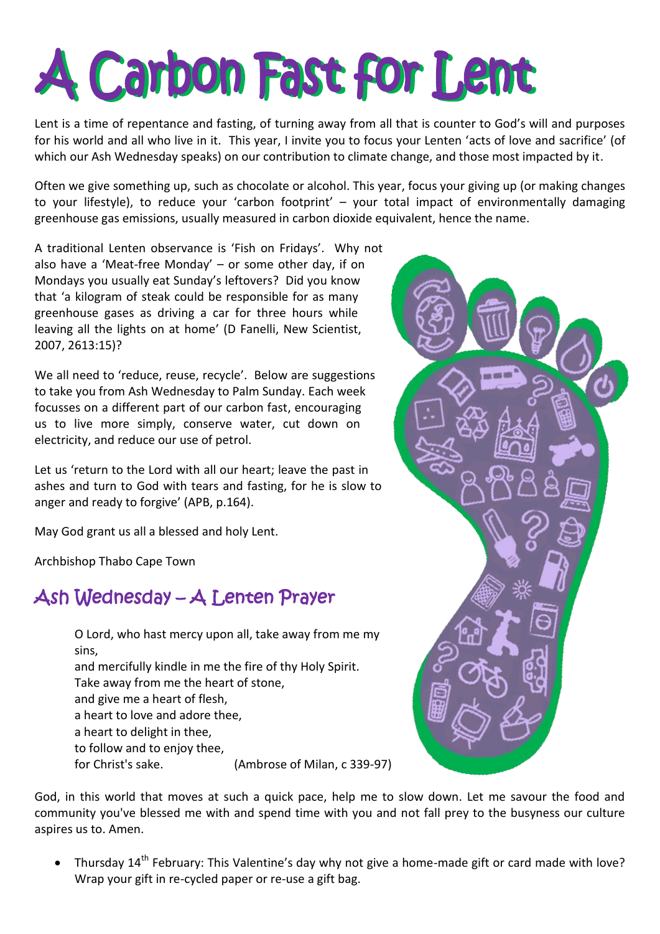# A Carbon Fast for Lent

Lent is a time of repentance and fasting, of turning away from all that is counter to God's will and purposes for his world and all who live in it. This year, I invite you to focus your Lenten 'acts of love and sacrifice' (of which our Ash Wednesday speaks) on our contribution to climate change, and those most impacted by it.

Often we give something up, such as chocolate or alcohol. This year, focus your giving up (or making changes to your lifestyle), to reduce your 'carbon footprint' – your total impact of environmentally damaging greenhouse gas emissions, usually measured in carbon dioxide equivalent, hence the name.

A traditional Lenten observance is 'Fish on Fridays'. Why not also have a 'Meat-free Monday' – or some other day, if on Mondays you usually eat Sunday's leftovers? Did you know that 'a kilogram of steak could be responsible for as many greenhouse gases as driving a car for three hours while leaving all the lights on at home' (D Fanelli, New Scientist, 2007, 2613:15)?

We all need to 'reduce, reuse, recycle'. Below are suggestions to take you from Ash Wednesday to Palm Sunday. Each week focusses on a different part of our carbon fast, encouraging us to live more simply, conserve water, cut down on electricity, and reduce our use of petrol.

Let us 'return to the Lord with all our heart; leave the past in ashes and turn to God with tears and fasting, for he is slow to anger and ready to forgive' (APB, p.164).

May God grant us all a blessed and holy Lent.

Archbishop Thabo Cape Town

# Ash Wednesday – A Lenten Prayer

O Lord, who hast mercy upon all, take away from me my sins, and mercifully kindle in me the fire of thy Holy Spirit. Take away from me the heart of stone, and give me a heart of flesh, a heart to love and adore thee, a heart to delight in thee, to follow and to enjoy thee, for Christ's sake. (Ambrose of Milan, c 339-97)

God, in this world that moves at such a quick pace, help me to slow down. Let me savour the food and community you've blessed me with and spend time with you and not fall prey to the busyness our culture aspires us to. Amen.

• Thursdav  $14^{th}$  February: This Valentine's day why not give a home-made gift or card made with love? Wrap your gift in re-cycled paper or re-use a gift bag.

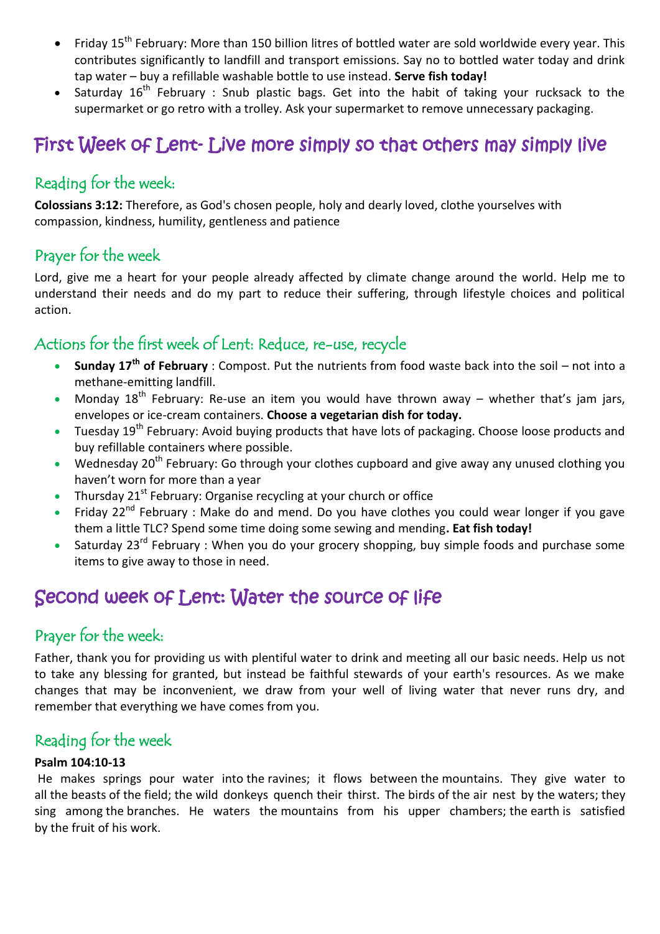- Friday 15<sup>th</sup> February: More than 150 billion litres of bottled water are sold worldwide every year. This contributes significantly to landfill and transport emissions. Say no to bottled water today and drink tap water – buy a refillable washable bottle to use instead. **Serve fish today!**
- Saturday  $16^{th}$  February : Snub plastic bags. Get into the habit of taking your rucksack to the supermarket or go retro with a trolley. Ask your supermarket to remove unnecessary packaging.

# First Week of Lent- Live more simply so that others may simply live

#### Reading for the week:

**Colossians 3:12:** Therefore, as God's chosen people, holy and dearly loved, clothe yourselves with compassion, kindness, humility, gentleness and patience

#### Prayer for the week

Lord, give me a heart for your people already affected by climate change around the world. Help me to understand their needs and do my part to reduce their suffering, through lifestyle choices and political action.

#### Actions for the first week of Lent: Reduce, re-use, recycle

- **Sunday 17th of February** : Compost. Put the nutrients from food waste back into the soil not into a methane-emitting landfill.
- Monday  $18^{th}$  February: Re-use an item you would have thrown away whether that's jam jars, envelopes or ice-cream containers. **Choose a vegetarian dish for today.**
- Tuesday 19<sup>th</sup> February: Avoid buying products that have lots of packaging. Choose loose products and buy refillable containers where possible.
- Wednesday 20<sup>th</sup> February: Go through your clothes cupboard and give away any unused clothing you haven't worn for more than a year
- Thursday 21<sup>st</sup> February: Organise recycling at your church or office
- Friday 22<sup>nd</sup> February : Make do and mend. Do you have clothes you could wear longer if you gave them a little TLC? Spend some time doing some sewing and mending**. Eat fish today!**
- Saturday  $23^{rd}$  February : When you do your grocery shopping, buy simple foods and purchase some items to give away to those in need.

# Second week of Lent: Water the source of life

#### Prayer for the week:

Father, thank you for providing us with plentiful water to drink and meeting all our basic needs. Help us not to take any blessing for granted, but instead be faithful stewards of your earth's resources. As we make changes that may be inconvenient, we draw from your well of living water that never runs dry, and remember that everything we have comes from you.

#### Reading for the week

#### **Psalm 104:10-13**

He makes springs pour water into the ravines; it flows between the mountains. They give water to all the beasts of the field; the wild donkeys quench their thirst. The birds of the air nest by the waters; they sing among the branches. He waters the mountains from his upper chambers; the earth is satisfied by the fruit of his work.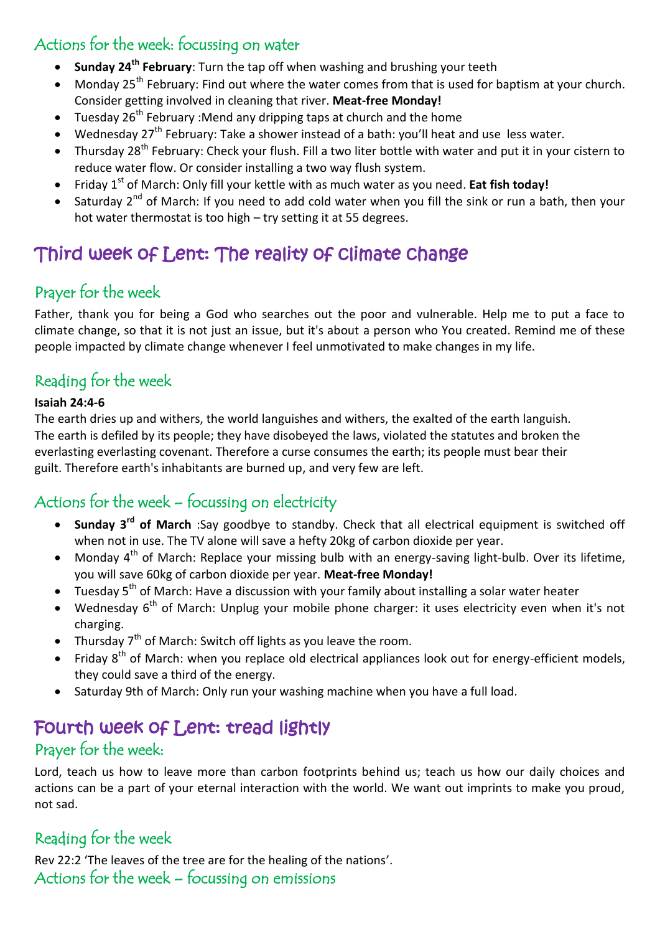### Actions for the week: focussing on water

- **Sunday 24th February**: Turn the tap off when washing and brushing your teeth
- $\bullet$  Monday 25<sup>th</sup> February: Find out where the water comes from that is used for baptism at your church. Consider getting involved in cleaning that river. **Meat-free Monday!**
- Tuesday 26<sup>th</sup> February :Mend any dripping taps at church and the home
- Wednesday 27<sup>th</sup> February: Take a shower instead of a bath: you'll heat and use less water.
- Thursday 28<sup>th</sup> February: Check your flush. Fill a two liter bottle with water and put it in your cistern to reduce water flow. Or consider installing a two way flush system.
- Friday 1<sup>st</sup> of March: Only fill your kettle with as much water as you need. **Eat fish today!**
- Saturday 2<sup>nd</sup> of March: If you need to add cold water when you fill the sink or run a bath, then your hot water thermostat is too high – try setting it at 55 degrees.

# Third week of Lent: The reality of climate change

#### Prayer for the week

Father, thank you for being a God who searches out the poor and vulnerable. Help me to put a face to climate change, so that it is not just an issue, but it's about a person who You created. Remind me of these people impacted by climate change whenever I feel unmotivated to make changes in my life.

#### Reading for the week

#### **Isaiah 24:4-6**

The earth dries up and withers, the world languishes and withers, the exalted of the earth languish. The earth is defiled by its people; they have disobeyed the laws, violated the statutes and broken the everlasting everlasting covenant. Therefore a curse consumes the earth; its people must bear their guilt. Therefore earth's inhabitants are burned up, and very few are left.

#### Actions for the week – focussing on electricity

- **Sunday 3<sup>rd</sup> of March** :Say goodbye to standby. Check that all electrical equipment is switched off when not in use. The TV alone will save a hefty 20kg of carbon dioxide per year.
- Monday 4<sup>th</sup> of March: Replace your missing bulb with an energy-saving light-bulb. Over its lifetime, you will save 60kg of carbon dioxide per year. **Meat-free Monday!**
- Tuesday 5<sup>th</sup> of March: Have a discussion with your family about installing a solar water heater
- Wednesday  $6<sup>th</sup>$  of March: Unplug your mobile phone charger: it uses electricity even when it's not charging.
- Thursday 7<sup>th</sup> of March: Switch off lights as you leave the room.
- Friday  $8<sup>th</sup>$  of March: when you replace old electrical appliances look out for energy-efficient models, they could save a third of the energy.
- Saturday 9th of March: Only run your washing machine when you have a full load.

# Fourth week of Lent: tread lightly

#### Prayer for the week:

Lord, teach us how to leave more than carbon footprints behind us; teach us how our daily choices and actions can be a part of your eternal interaction with the world. We want out imprints to make you proud, not sad.

#### Reading for the week

Rev 22:2 'The leaves of the tree are for the healing of the nations'. Actions for the week – focussing on emissions